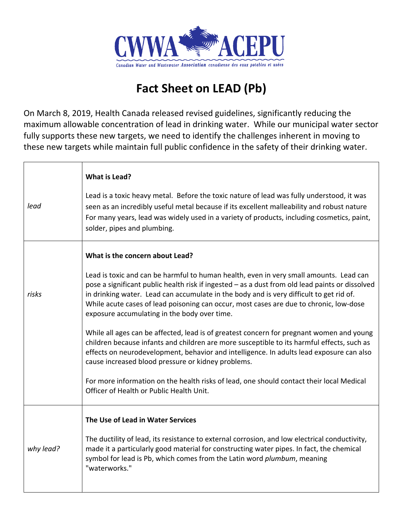

## **Fact Sheet on LEAD (Pb)**

On March 8, 2019, Health Canada released revised guidelines, significantly reducing the maximum allowable concentration of lead in drinking water. While our municipal water sector fully supports these new targets, we need to identify the challenges inherent in moving to these new targets while maintain full public confidence in the safety of their drinking water.

| lead      | What is Lead?<br>Lead is a toxic heavy metal. Before the toxic nature of lead was fully understood, it was<br>seen as an incredibly useful metal because if its excellent malleability and robust nature<br>For many years, lead was widely used in a variety of products, including cosmetics, paint,<br>solder, pipes and plumbing.                                                                                                                                                                                                                                                                                                                                                                                                                                                                                                                                                                                                                 |
|-----------|-------------------------------------------------------------------------------------------------------------------------------------------------------------------------------------------------------------------------------------------------------------------------------------------------------------------------------------------------------------------------------------------------------------------------------------------------------------------------------------------------------------------------------------------------------------------------------------------------------------------------------------------------------------------------------------------------------------------------------------------------------------------------------------------------------------------------------------------------------------------------------------------------------------------------------------------------------|
| risks     | What is the concern about Lead?<br>Lead is toxic and can be harmful to human health, even in very small amounts. Lead can<br>pose a significant public health risk if ingested - as a dust from old lead paints or dissolved<br>in drinking water. Lead can accumulate in the body and is very difficult to get rid of.<br>While acute cases of lead poisoning can occur, most cases are due to chronic, low-dose<br>exposure accumulating in the body over time.<br>While all ages can be affected, lead is of greatest concern for pregnant women and young<br>children because infants and children are more susceptible to its harmful effects, such as<br>effects on neurodevelopment, behavior and intelligence. In adults lead exposure can also<br>cause increased blood pressure or kidney problems.<br>For more information on the health risks of lead, one should contact their local Medical<br>Officer of Health or Public Health Unit. |
| why lead? | The Use of Lead in Water Services<br>The ductility of lead, its resistance to external corrosion, and low electrical conductivity,<br>made it a particularly good material for constructing water pipes. In fact, the chemical<br>symbol for lead is Pb, which comes from the Latin word plumbum, meaning<br>"waterworks."                                                                                                                                                                                                                                                                                                                                                                                                                                                                                                                                                                                                                            |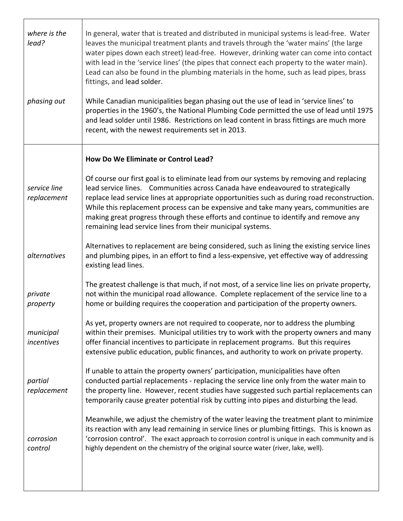| where is the<br>lead?<br>phasing out | In general, water that is treated and distributed in municipal systems is lead-free. Water<br>leaves the municipal treatment plants and travels through the 'water mains' (the large<br>water pipes down each street) lead-free. However, drinking water can come into contact<br>with lead in the 'service lines' (the pipes that connect each property to the water main).<br>Lead can also be found in the plumbing materials in the home, such as lead pipes, brass<br>fittings, and lead solder.<br>While Canadian municipalities began phasing out the use of lead in 'service lines' to<br>properties in the 1960's, the National Plumbing Code permitted the use of lead until 1975<br>and lead solder until 1986. Restrictions on lead content in brass fittings are much more<br>recent, with the newest requirements set in 2013. |
|--------------------------------------|----------------------------------------------------------------------------------------------------------------------------------------------------------------------------------------------------------------------------------------------------------------------------------------------------------------------------------------------------------------------------------------------------------------------------------------------------------------------------------------------------------------------------------------------------------------------------------------------------------------------------------------------------------------------------------------------------------------------------------------------------------------------------------------------------------------------------------------------|
|                                      | How Do We Eliminate or Control Lead?                                                                                                                                                                                                                                                                                                                                                                                                                                                                                                                                                                                                                                                                                                                                                                                                         |
| service line<br>replacement          | Of course our first goal is to eliminate lead from our systems by removing and replacing<br>lead service lines. Communities across Canada have endeavoured to strategically<br>replace lead service lines at appropriate opportunities such as during road reconstruction.<br>While this replacement process can be expensive and take many years, communities are<br>making great progress through these efforts and continue to identify and remove any<br>remaining lead service lines from their municipal systems.                                                                                                                                                                                                                                                                                                                      |
| alternatives                         | Alternatives to replacement are being considered, such as lining the existing service lines<br>and plumbing pipes, in an effort to find a less-expensive, yet effective way of addressing<br>existing lead lines.                                                                                                                                                                                                                                                                                                                                                                                                                                                                                                                                                                                                                            |
| private<br>property                  | The greatest challenge is that much, if not most, of a service line lies on private property,<br>not within the municipal road allowance. Complete replacement of the service line to a<br>home or building requires the cooperation and participation of the property owners.                                                                                                                                                                                                                                                                                                                                                                                                                                                                                                                                                               |
| municipal<br>incentives              | As yet, property owners are not required to cooperate, nor to address the plumbing<br>within their premises. Municipal utilities try to work with the property owners and many<br>offer financial incentives to participate in replacement programs. But this requires<br>extensive public education, public finances, and authority to work on private property.                                                                                                                                                                                                                                                                                                                                                                                                                                                                            |
| partial<br>replacement               | If unable to attain the property owners' participation, municipalities have often<br>conducted partial replacements - replacing the service line only from the water main to<br>the property line. However, recent studies have suggested such partial replacements can<br>temporarily cause greater potential risk by cutting into pipes and disturbing the lead.                                                                                                                                                                                                                                                                                                                                                                                                                                                                           |
| corrosion<br>control                 | Meanwhile, we adjust the chemistry of the water leaving the treatment plant to minimize<br>its reaction with any lead remaining in service lines or plumbing fittings. This is known as<br>'corrosion control'. The exact approach to corrosion control is unique in each community and is<br>highly dependent on the chemistry of the original source water (river, lake, well).                                                                                                                                                                                                                                                                                                                                                                                                                                                            |
|                                      |                                                                                                                                                                                                                                                                                                                                                                                                                                                                                                                                                                                                                                                                                                                                                                                                                                              |

<u> 1989 - Johann Stoff, fransk politik (f. 1989)</u>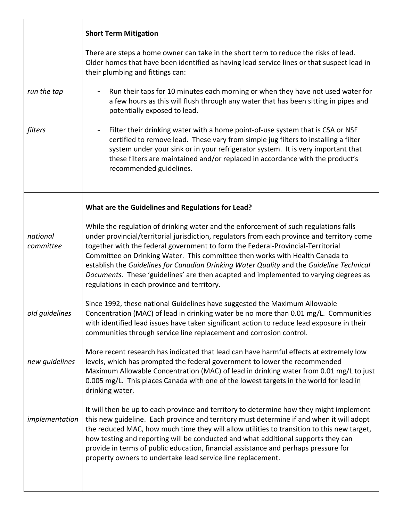|                       | <b>Short Term Mitigation</b>                                                                                                                                                                                                                                                                                                                                                                                                                                                                                                                                                              |
|-----------------------|-------------------------------------------------------------------------------------------------------------------------------------------------------------------------------------------------------------------------------------------------------------------------------------------------------------------------------------------------------------------------------------------------------------------------------------------------------------------------------------------------------------------------------------------------------------------------------------------|
|                       | There are steps a home owner can take in the short term to reduce the risks of lead.<br>Older homes that have been identified as having lead service lines or that suspect lead in<br>their plumbing and fittings can:                                                                                                                                                                                                                                                                                                                                                                    |
| run the tap           | Run their taps for 10 minutes each morning or when they have not used water for<br>a few hours as this will flush through any water that has been sitting in pipes and<br>potentially exposed to lead.                                                                                                                                                                                                                                                                                                                                                                                    |
| filters               | Filter their drinking water with a home point-of-use system that is CSA or NSF<br>certified to remove lead. These vary from simple jug filters to installing a filter<br>system under your sink or in your refrigerator system. It is very important that<br>these filters are maintained and/or replaced in accordance with the product's<br>recommended guidelines.                                                                                                                                                                                                                     |
|                       | What are the Guidelines and Regulations for Lead?                                                                                                                                                                                                                                                                                                                                                                                                                                                                                                                                         |
| national<br>committee | While the regulation of drinking water and the enforcement of such regulations falls<br>under provincial/territorial jurisdiction, regulators from each province and territory come<br>together with the federal government to form the Federal-Provincial-Territorial<br>Committee on Drinking Water. This committee then works with Health Canada to<br>establish the Guidelines for Canadian Drinking Water Quality and the Guideline Technical<br>Documents. These 'guidelines' are then adapted and implemented to varying degrees as<br>regulations in each province and territory. |
| old guidelines        | Since 1992, these national Guidelines have suggested the Maximum Allowable<br>Concentration (MAC) of lead in drinking water be no more than 0.01 mg/L. Communities<br>with identified lead issues have taken significant action to reduce lead exposure in their<br>communities through service line replacement and corrosion control.                                                                                                                                                                                                                                                   |
| new guidelines        | More recent research has indicated that lead can have harmful effects at extremely low<br>levels, which has prompted the federal government to lower the recommended<br>Maximum Allowable Concentration (MAC) of lead in drinking water from 0.01 mg/L to just<br>0.005 mg/L. This places Canada with one of the lowest targets in the world for lead in<br>drinking water.                                                                                                                                                                                                               |
| implementation        | It will then be up to each province and territory to determine how they might implement<br>this new guideline. Each province and territory must determine if and when it will adopt<br>the reduced MAC, how much time they will allow utilities to transition to this new target,<br>how testing and reporting will be conducted and what additional supports they can<br>provide in terms of public education, financial assistance and perhaps pressure for<br>property owners to undertake lead service line replacement.                                                              |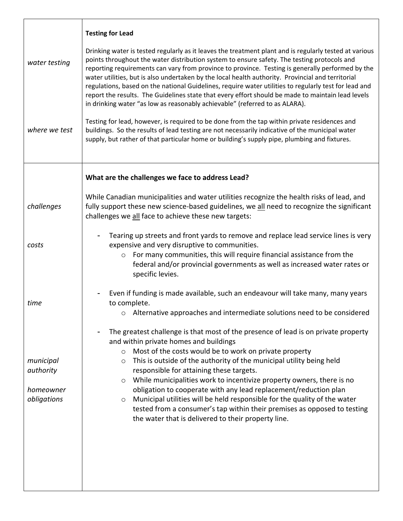|                                                    | <b>Testing for Lead</b>                                                                                                                                                                                                                                                                                                                                                                                                                                                                                                                                                                                                                                                                                             |
|----------------------------------------------------|---------------------------------------------------------------------------------------------------------------------------------------------------------------------------------------------------------------------------------------------------------------------------------------------------------------------------------------------------------------------------------------------------------------------------------------------------------------------------------------------------------------------------------------------------------------------------------------------------------------------------------------------------------------------------------------------------------------------|
| water testing                                      | Drinking water is tested regularly as it leaves the treatment plant and is regularly tested at various<br>points throughout the water distribution system to ensure safety. The testing protocols and<br>reporting requirements can vary from province to province. Testing is generally performed by the<br>water utilities, but is also undertaken by the local health authority. Provincial and territorial<br>regulations, based on the national Guidelines, require water utilities to regularly test for lead and<br>report the results. The Guidelines state that every effort should be made to maintain lead levels<br>in drinking water "as low as reasonably achievable" (referred to as ALARA).         |
| where we test                                      | Testing for lead, however, is required to be done from the tap within private residences and<br>buildings. So the results of lead testing are not necessarily indicative of the municipal water<br>supply, but rather of that particular home or building's supply pipe, plumbing and fixtures.                                                                                                                                                                                                                                                                                                                                                                                                                     |
|                                                    | What are the challenges we face to address Lead?                                                                                                                                                                                                                                                                                                                                                                                                                                                                                                                                                                                                                                                                    |
| challenges                                         | While Canadian municipalities and water utilities recognize the health risks of lead, and<br>fully support these new science-based guidelines, we all need to recognize the significant<br>challenges we all face to achieve these new targets:                                                                                                                                                                                                                                                                                                                                                                                                                                                                     |
| costs                                              | Tearing up streets and front yards to remove and replace lead service lines is very<br>expensive and very disruptive to communities.<br>For many communities, this will require financial assistance from the<br>$\circ$<br>federal and/or provincial governments as well as increased water rates or<br>specific levies.                                                                                                                                                                                                                                                                                                                                                                                           |
| time                                               | Even if funding is made available, such an endeavour will take many, many years<br>to complete.<br>o Alternative approaches and intermediate solutions need to be considered                                                                                                                                                                                                                                                                                                                                                                                                                                                                                                                                        |
| municipal<br>authority<br>homeowner<br>obligations | The greatest challenge is that most of the presence of lead is on private property<br>and within private homes and buildings<br>Most of the costs would be to work on private property<br>$\circ$<br>This is outside of the authority of the municipal utility being held<br>$\circ$<br>responsible for attaining these targets.<br>While municipalities work to incentivize property owners, there is no<br>$\circ$<br>obligation to cooperate with any lead replacement/reduction plan<br>Municipal utilities will be held responsible for the quality of the water<br>$\circ$<br>tested from a consumer's tap within their premises as opposed to testing<br>the water that is delivered to their property line. |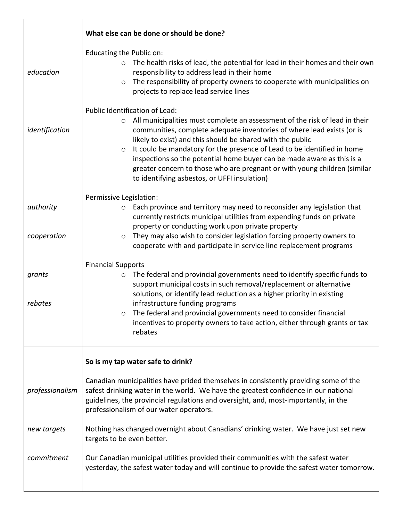|                   | What else can be done or should be done?                                                                                                                                                                                                                                                                                                                                                                                                                                                                                                                      |
|-------------------|---------------------------------------------------------------------------------------------------------------------------------------------------------------------------------------------------------------------------------------------------------------------------------------------------------------------------------------------------------------------------------------------------------------------------------------------------------------------------------------------------------------------------------------------------------------|
| education         | Educating the Public on:<br>The health risks of lead, the potential for lead in their homes and their own<br>$\circ$<br>responsibility to address lead in their home<br>The responsibility of property owners to cooperate with municipalities on<br>$\circ$<br>projects to replace lead service lines                                                                                                                                                                                                                                                        |
| identification    | Public Identification of Lead:<br>All municipalities must complete an assessment of the risk of lead in their<br>$\circ$<br>communities, complete adequate inventories of where lead exists (or is<br>likely to exist) and this should be shared with the public<br>It could be mandatory for the presence of Lead to be identified in home<br>$\circ$<br>inspections so the potential home buyer can be made aware as this is a<br>greater concern to those who are pregnant or with young children (similar<br>to identifying asbestos, or UFFI insulation) |
| authority         | Permissive Legislation:<br>Each province and territory may need to reconsider any legislation that<br>$\circ$<br>currently restricts municipal utilities from expending funds on private<br>property or conducting work upon private property                                                                                                                                                                                                                                                                                                                 |
| cooperation       | They may also wish to consider legislation forcing property owners to<br>$\circ$<br>cooperate with and participate in service line replacement programs                                                                                                                                                                                                                                                                                                                                                                                                       |
| grants<br>rebates | <b>Financial Supports</b><br>The federal and provincial governments need to identify specific funds to<br>$\circ$<br>support municipal costs in such removal/replacement or alternative<br>solutions, or identify lead reduction as a higher priority in existing<br>infrastructure funding programs<br>$\circ$ The federal and provincial governments need to consider financial<br>incentives to property owners to take action, either through grants or tax<br>rebates                                                                                    |
|                   | So is my tap water safe to drink?                                                                                                                                                                                                                                                                                                                                                                                                                                                                                                                             |
| professionalism   | Canadian municipalities have prided themselves in consistently providing some of the<br>safest drinking water in the world. We have the greatest confidence in our national<br>guidelines, the provincial regulations and oversight, and, most-importantly, in the<br>professionalism of our water operators.                                                                                                                                                                                                                                                 |
| new targets       | Nothing has changed overnight about Canadians' drinking water. We have just set new<br>targets to be even better.                                                                                                                                                                                                                                                                                                                                                                                                                                             |
| commitment        | Our Canadian municipal utilities provided their communities with the safest water<br>yesterday, the safest water today and will continue to provide the safest water tomorrow.                                                                                                                                                                                                                                                                                                                                                                                |